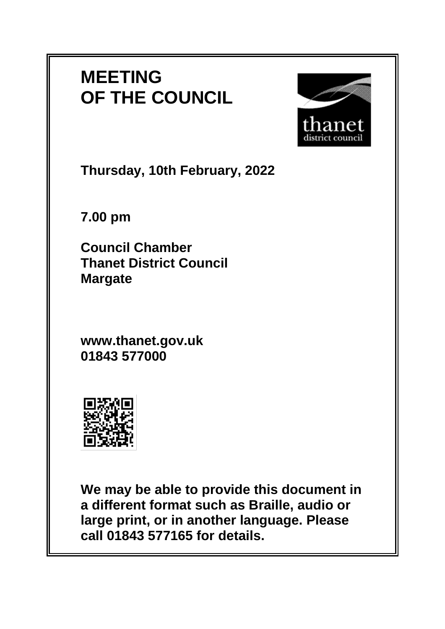# **MEETING OF THE COUNCIL**



**Thursday, 10th February, 2022**

**7.00 pm**

**Council Chamber Thanet District Council Margate**

**www.thanet.gov.uk 01843 577000**



**We may be able to provide this document in a different format such as Braille, audio or large print, or in another language. Please call 01843 577165 for details.**